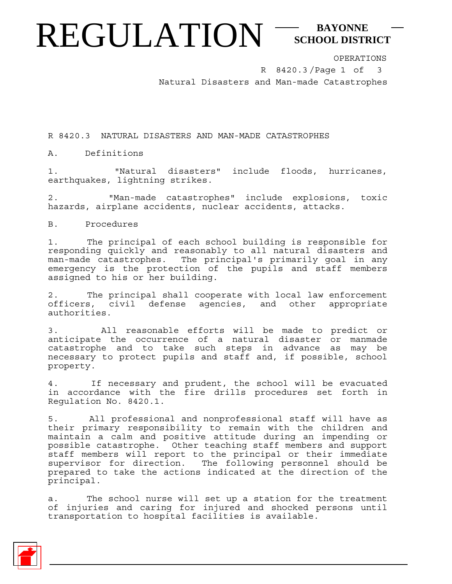## REGULATION<sup>-SCHOOL DISTI</sup> **SCHOOL DISTRICT**

OPERATIONS

R 8420.3/Page 1 of 3 Natural Disasters and Man-made Catastrophes

R 8420.3 NATURAL DISASTERS AND MAN-MADE CATASTROPHES

A. Definitions

1. "Natural disasters" include floods, hurricanes, earthquakes, lightning strikes.

2. "Man-made catastrophes" include explosions, toxic hazards, airplane accidents, nuclear accidents, attacks.

B. Procedures

1. The principal of each school building is responsible for responding quickly and reasonably to all natural disasters and man-made catastrophes. The principal's primarily goal in any emergency is the protection of the pupils and staff members assigned to his or her building.

2. The principal shall cooperate with local law enforcement officers, civil defense agencies, and other appropriate authorities.

3. All reasonable efforts will be made to predict or anticipate the occurrence of a natural disaster or manmade catastrophe and to take such steps in advance as may be necessary to protect pupils and staff and, if possible, school property.

4. If necessary and prudent, the school will be evacuated in accordance with the fire drills procedures set forth in Regulation No. 8420.1.

5. All professional and nonprofessional staff will have as their primary responsibility to remain with the children and maintain a calm and positive attitude during an impending or possible catastrophe. Other teaching staff members and support staff members will report to the principal or their immediate supervisor for direction. The following personnel should be prepared to take the actions indicated at the direction of the principal.

a. The school nurse will set up a station for the treatment of injuries and caring for injured and shocked persons until transportation to hospital facilities is available.

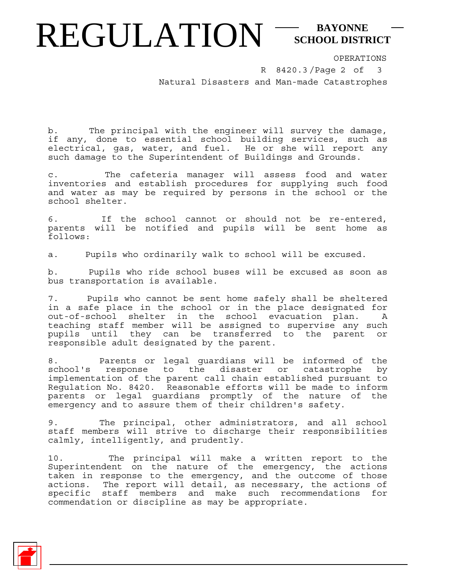## REGULATION<sup>-SCHOOL DISTI</sup> **SCHOOL DISTRICT**

OPERATIONS

R 8420.3/Page 2 of Natural Disasters and Man-made Catastrophes 3

b. The principal with the engineer will survey the damage, if any, done to essential school building services, such as electrical, gas, water, and fuel. He or she will report any such damage to the Superintendent of Buildings and Grounds.

c. The cafeteria manager will assess food and water inventories and establish procedures for supplying such food and water as may be required by persons in the school or the school shelter.

6. If the school cannot or should not be re-entered, parents will be notified and pupils will be sent home as follows:

a. Pupils who ordinarily walk to school will be excused.

b. Pupils who ride school buses will be excused as soon as bus transportation is available.

7. Pupils who cannot be sent home safely shall be sheltered in a safe place in the school or in the place designated for out-of-school shelter in the school evacuation plan. A teaching staff member will be assigned to supervise any such pupils until they can be transferred to the parent or responsible adult designated by the parent.

8. Parents or legal guardians will be informed of the school's response to the disaster or catastrophe by implementation of the parent call chain established pursuant to Regulation No. 8420. Reasonable efforts will be made to inform parents or legal guardians promptly of the nature of the emergency and to assure them of their children's safety.

9. The principal, other administrators, and all school staff members will strive to discharge their responsibilities calmly, intelligently, and prudently.

10. The principal will make a written report to the Superintendent on the nature of the emergency, the actions taken in response to the emergency, and the outcome of those actions. The report will detail, as necessary, the actions of specific staff members and make such recommendations for commendation or discipline as may be appropriate.